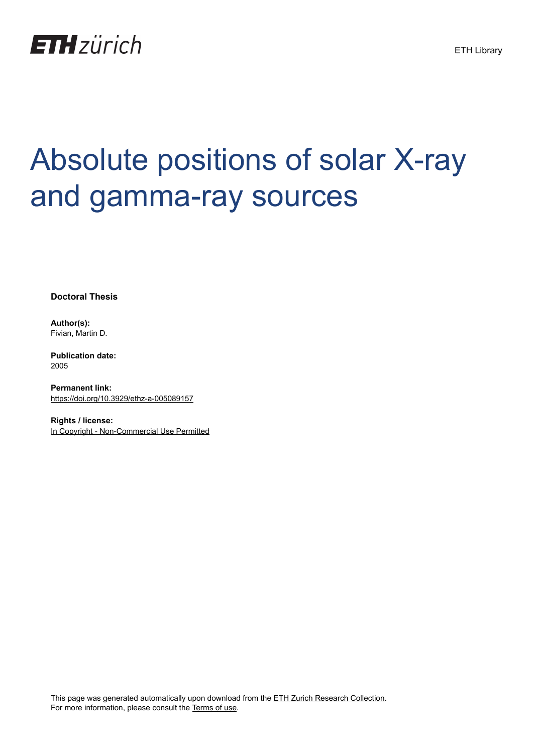

## Absolute positions of solar X-ray and gamma-ray sources

**Doctoral Thesis**

**Author(s):** Fivian, Martin D.

**Publication date:** 2005

**Permanent link:** <https://doi.org/10.3929/ethz-a-005089157>

**Rights / license:** [In Copyright - Non-Commercial Use Permitted](http://rightsstatements.org/page/InC-NC/1.0/)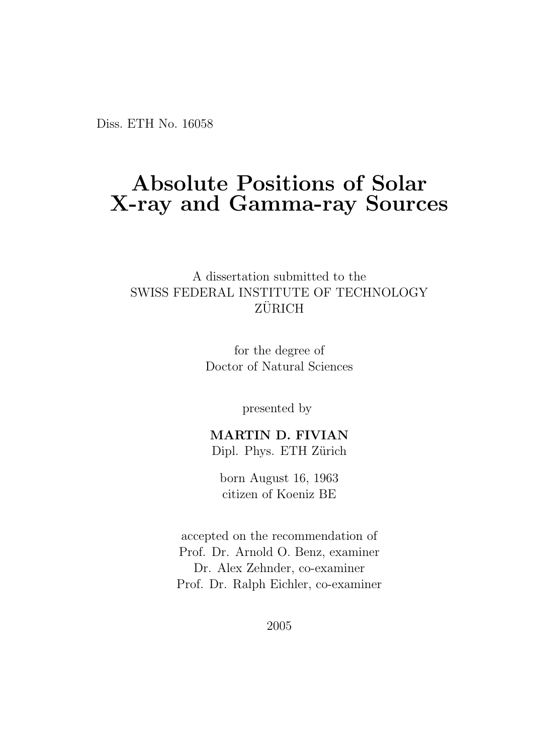Diss. ETH No. 16058

## Absolute Positions of Solar X-ray and Gamma-ray Sources

A dissertation submitted to the SWISS FEDERAL INSTITUTE OF TECHNOLOGY  $Z\ddot{\text{URICH}}$ 

> for the degree of Doctor of Natural Sciences

> > presented by

MARTIN D. FIVIAN Dipl. Phys. ETH Zürich

born August 16, 1963 citizen of Koeniz BE

accepted on the recommendation of Prof. Dr. Arnold O. Benz, examiner Dr. Alex Zehnder, co-examiner Prof. Dr. Ralph Eichler, co-examiner

2005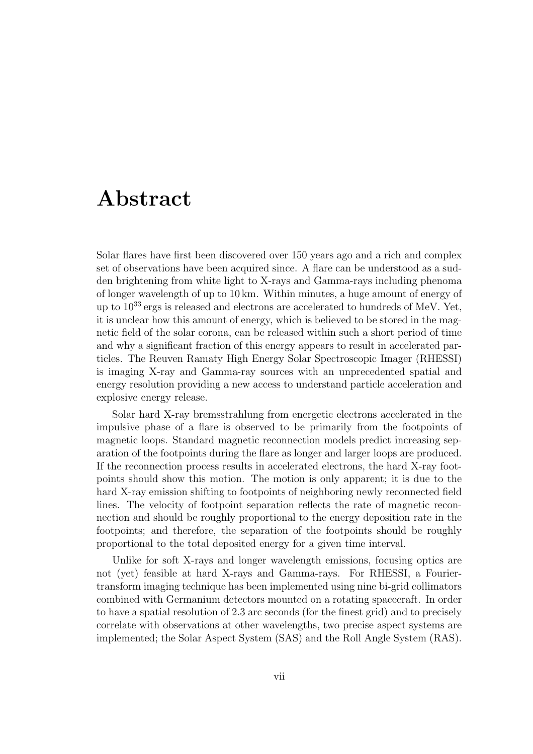## Abstract

Solar flares have first been discovered over 150 years ago and a rich and complex set of observations have been acquired since. A flare can be understood as a sudden brightening from white light to X-rays and Gamma-rays including phenoma of longer wavelength of up to 10 km. Within minutes, a huge amount of energy of up to  $10^{33}$  ergs is released and electrons are accelerated to hundreds of MeV. Yet, it is unclear how this amount of energy, which is believed to be stored in the magnetic field of the solar corona, can be released within such a short period of time and why a significant fraction of this energy appears to result in accelerated particles. The Reuven Ramaty High Energy Solar Spectroscopic Imager (RHESSI) is imaging X-ray and Gamma-ray sources with an unprecedented spatial and energy resolution providing a new access to understand particle acceleration and explosive energy release.

Solar hard X-ray bremsstrahlung from energetic electrons accelerated in the impulsive phase of a flare is observed to be primarily from the footpoints of magnetic loops. Standard magnetic reconnection models predict increasing separation of the footpoints during the flare as longer and larger loops are produced. If the reconnection process results in accelerated electrons, the hard X-ray footpoints should show this motion. The motion is only apparent; it is due to the hard X-ray emission shifting to footpoints of neighboring newly reconnected field lines. The velocity of footpoint separation reflects the rate of magnetic reconnection and should be roughly proportional to the energy deposition rate in the footpoints; and therefore, the separation of the footpoints should be roughly proportional to the total deposited energy for a given time interval.

Unlike for soft X-rays and longer wavelength emissions, focusing optics are not (yet) feasible at hard X-rays and Gamma-rays. For RHESSI, a Fouriertransform imaging technique has been implemented using nine bi-grid collimators combined with Germanium detectors mounted on a rotating spacecraft. In order to have a spatial resolution of 2.3 arc seconds (for the finest grid) and to precisely correlate with observations at other wavelengths, two precise aspect systems are implemented; the Solar Aspect System (SAS) and the Roll Angle System (RAS).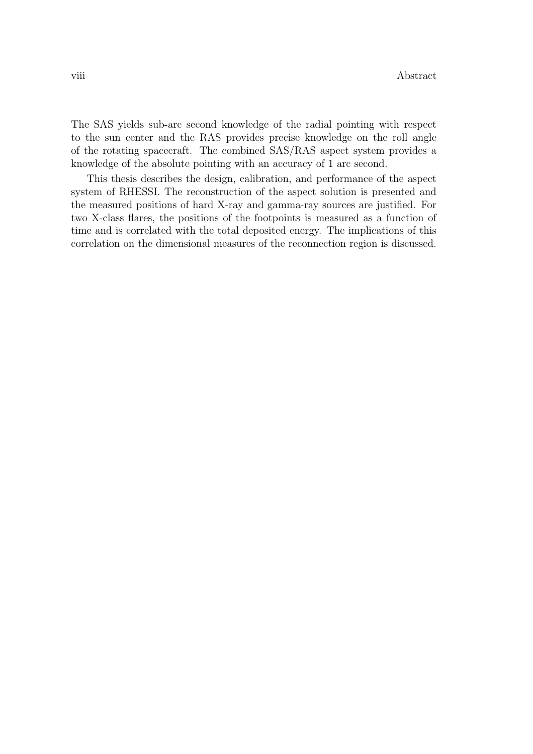The SAS yields sub-arc second knowledge of the radial pointing with respect to the sun center and the RAS provides precise knowledge on the roll angle of the rotating spacecraft. The combined SAS/RAS aspect system provides a knowledge of the absolute pointing with an accuracy of 1 arc second.

This thesis describes the design, calibration, and performance of the aspect system of RHESSI. The reconstruction of the aspect solution is presented and the measured positions of hard X-ray and gamma-ray sources are justified. For two X-class flares, the positions of the footpoints is measured as a function of time and is correlated with the total deposited energy. The implications of this correlation on the dimensional measures of the reconnection region is discussed.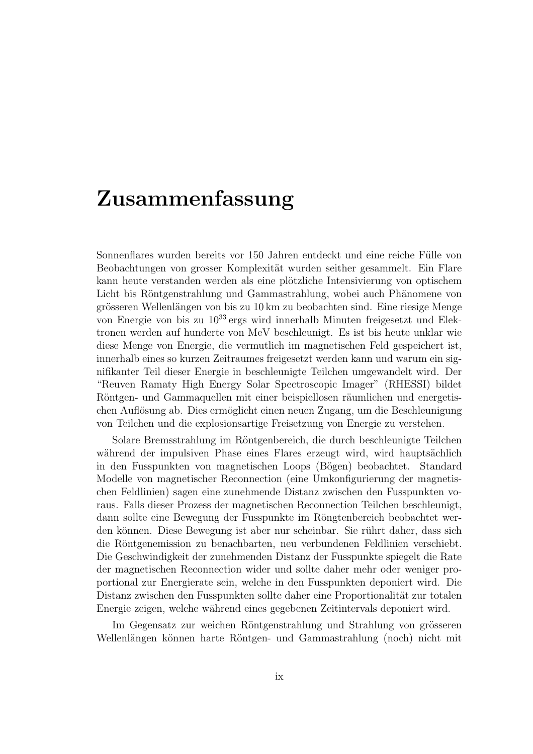## Zusammenfassung

Sonnenflares wurden bereits vor 150 Jahren entdeckt und eine reiche Fülle von Beobachtungen von grosser Komplexität wurden seither gesammelt. Ein Flare kann heute verstanden werden als eine plötzliche Intensivierung von optischem Licht bis Röntgenstrahlung und Gammastrahlung, wobei auch Phänomene von grösseren Wellenlängen von bis zu 10 km zu beobachten sind. Eine riesige Menge von Energie von bis zu  $10^{33}$  ergs wird innerhalb Minuten freigesetzt und Elektronen werden auf hunderte von MeV beschleunigt. Es ist bis heute unklar wie diese Menge von Energie, die vermutlich im magnetischen Feld gespeichert ist, innerhalb eines so kurzen Zeitraumes freigesetzt werden kann und warum ein signifikanter Teil dieser Energie in beschleunigte Teilchen umgewandelt wird. Der "Reuven Ramaty High Energy Solar Spectroscopic Imager" (RHESSI) bildet Röntgen- und Gammaquellen mit einer beispiellosen räumlichen und energetischen Auflösung ab. Dies ermöglicht einen neuen Zugang, um die Beschleunigung von Teilchen und die explosionsartige Freisetzung von Energie zu verstehen.

Solare Bremsstrahlung im Röntgenbereich, die durch beschleunigte Teilchen während der impulsiven Phase eines Flares erzeugt wird, wird hauptsächlich in den Fusspunkten von magnetischen Loops (Bögen) beobachtet. Standard Modelle von magnetischer Reconnection (eine Umkonfigurierung der magnetischen Feldlinien) sagen eine zunehmende Distanz zwischen den Fusspunkten voraus. Falls dieser Prozess der magnetischen Reconnection Teilchen beschleunigt, dann sollte eine Bewegung der Fusspunkte im Röngtenbereich beobachtet werden können. Diese Bewegung ist aber nur scheinbar. Sie rührt daher, dass sich die Röntgenemission zu benachbarten, neu verbundenen Feldlinien verschiebt. Die Geschwindigkeit der zunehmenden Distanz der Fusspunkte spiegelt die Rate der magnetischen Reconnection wider und sollte daher mehr oder weniger proportional zur Energierate sein, welche in den Fusspunkten deponiert wird. Die Distanz zwischen den Fusspunkten sollte daher eine Proportionalität zur totalen Energie zeigen, welche während eines gegebenen Zeitintervals deponiert wird.

Im Gegensatz zur weichen Röntgenstrahlung und Strahlung von grösseren Wellenlängen können harte Röntgen- und Gammastrahlung (noch) nicht mit